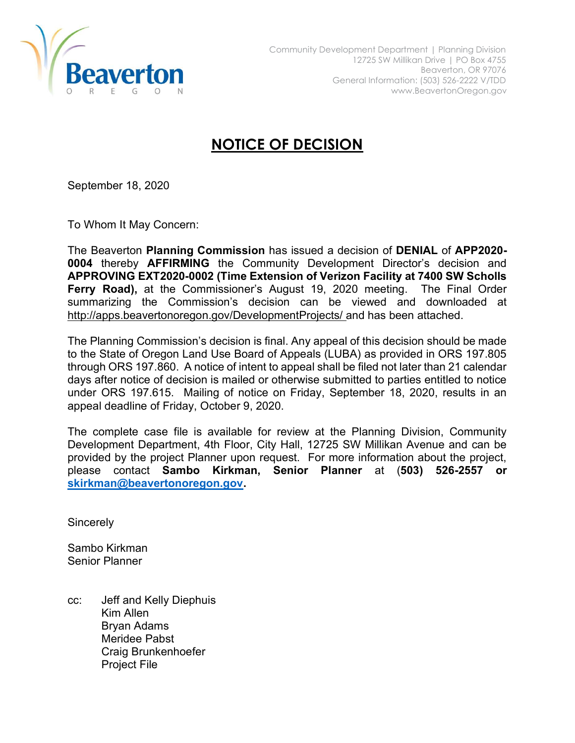

## NOTICE OF DECISION

September 18, 2020

To Whom It May Concern:

The Beaverton Planning Commission has issued a decision of DENIAL of APP2020- 0004 thereby AFFIRMING the Community Development Director's decision and APPROVING EXT2020-0002 (Time Extension of Verizon Facility at 7400 SW Scholls Ferry Road), at the Commissioner's August 19, 2020 meeting. The Final Order summarizing the Commission's decision can be viewed and downloaded at http://apps.beavertonoregon.gov/DevelopmentProjects/ and has been attached.

The Planning Commission's decision is final. Any appeal of this decision should be made to the State of Oregon Land Use Board of Appeals (LUBA) as provided in ORS 197.805 through ORS 197.860. A notice of intent to appeal shall be filed not later than 21 calendar days after notice of decision is mailed or otherwise submitted to parties entitled to notice under ORS 197.615. Mailing of notice on Friday, September 18, 2020, results in an appeal deadline of Friday, October 9, 2020.

The complete case file is available for review at the Planning Division, Community Development Department, 4th Floor, City Hall, 12725 SW Millikan Avenue and can be provided by the project Planner upon request. For more information about the project, please contact Sambo Kirkman, Senior Planner at (503) 526-2557 or skirkman@beavertonoregon.gov.

**Sincerely** 

Sambo Kirkman Senior Planner

cc: Jeff and Kelly Diephuis Kim Allen Bryan Adams Meridee Pabst Craig Brunkenhoefer Project File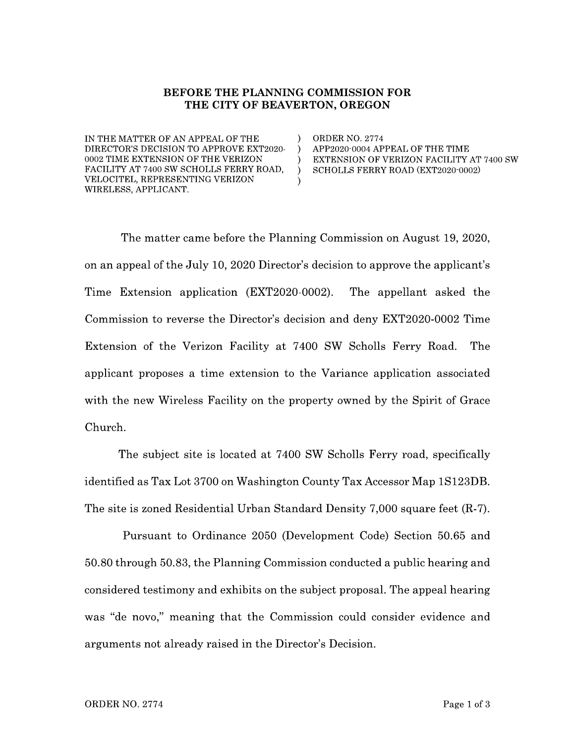## BEFORE THE PLANNING COMMISSION FOR THE CITY OF BEAVERTON, OREGON

 $\lambda$ 

 $\lambda$ 

 $\lambda$ 

IN THE MATTER OF AN APPEAL OF THE DIRECTOR'S DECISION TO APPROVE EXT2020-0002 TIME EXTENSION OF THE VERIZON FACILITY AT 7400 SW SCHOLLS FERRY ROAD, VELOCITEL, REPRESENTING VERIZON WIRELESS, APPLICANT.

**ORDER NO. 2774** APP2020-0004 APPEAL OF THE TIME EXTENSION OF VERIZON FACILITY AT 7400 SW SCHOLLS FERRY ROAD (EXT2020-0002)

The matter came before the Planning Commission on August 19, 2020, on an appeal of the July 10, 2020 Director's decision to approve the applicant's Time Extension application (EXT2020-0002). The appellant asked the Commission to reverse the Director's decision and deny EXT2020-0002 Time Extension of the Verizon Facility at 7400 SW Scholls Ferry Road. The applicant proposes a time extension to the Variance application associated with the new Wireless Facility on the property owned by the Spirit of Grace Church.

The subject site is located at 7400 SW Scholls Ferry road, specifically identified as Tax Lot 3700 on Washington County Tax Accessor Map 1S123DB. The site is zoned Residential Urban Standard Density 7,000 square feet (R-7).

Pursuant to Ordinance 2050 (Development Code) Section 50.65 and 50.80 through 50.83, the Planning Commission conducted a public hearing and considered testimony and exhibits on the subject proposal. The appeal hearing was "de novo," meaning that the Commission could consider evidence and arguments not already raised in the Director's Decision.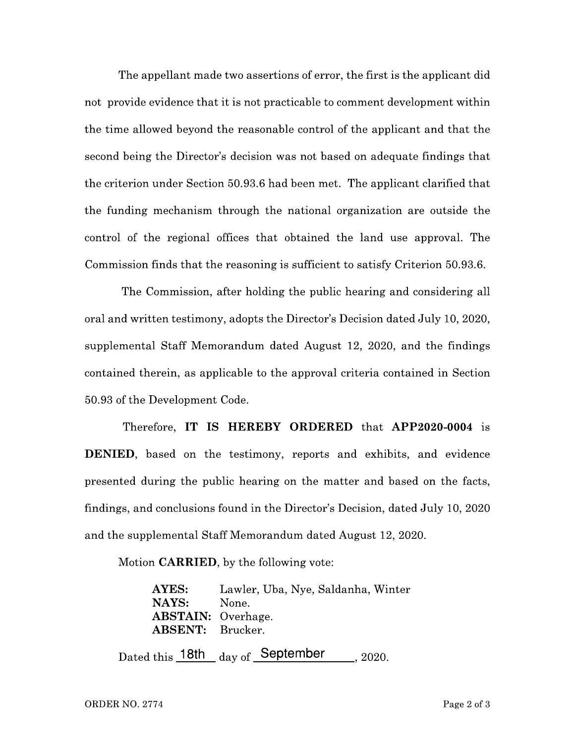The appellant made two assertions of error, the first is the applicant did not provide evidence that it is not practicable to comment development within the time allowed beyond the reasonable control of the applicant and that the second being the Director's decision was not based on adequate findings that the criterion under Section 50.93.6 had been met. The applicant clarified that the funding mechanism through the national organization are outside the control of the regional offices that obtained the land use approval. The Commission finds that the reasoning is sufficient to satisfy Criterion 50.93.6.

The Commission, after holding the public hearing and considering all oral and written testimony, adopts the Director's Decision dated July 10, 2020, supplemental Staff Memorandum dated August 12, 2020, and the findings contained therein, as applicable to the approval criteria contained in Section 50.93 of the Development Code.

Therefore, IT IS HEREBY ORDERED that APP2020-0004 is **DENIED**, based on the testimony, reports and exhibits, and evidence presented during the public hearing on the matter and based on the facts, findings, and conclusions found in the Director's Decision, dated July 10, 2020 and the supplemental Staff Memorandum dated August 12, 2020.

Motion **CARRIED**, by the following vote:

**AYES:** Lawler, Uba, Nye, Saldanha, Winter NAYS: None. **ABSTAIN:** Overhage. **ABSENT:** Brucker.

Dated this 18th  $_{\rm{dav \ of}}$  September 2020.